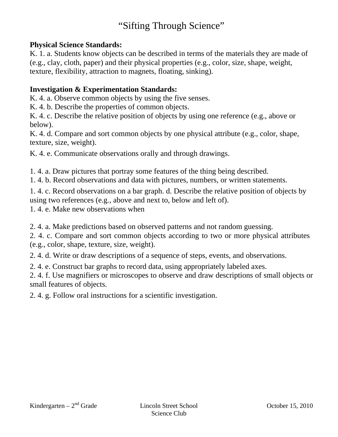# "Sifting Through Science"

### **Physical Science Standards:**

K. 1. a. Students know objects can be described in terms of the materials they are made of (e.g., clay, cloth, paper) and their physical properties (e.g., color, size, shape, weight, texture, flexibility, attraction to magnets, floating, sinking).

### **Investigation & Experimentation Standards:**

K. 4. a. Observe common objects by using the five senses.

K. 4. b. Describe the properties of common objects.

K. 4. c. Describe the relative position of objects by using one reference (e.g., above or below).

K. 4. d. Compare and sort common objects by one physical attribute (e.g., color, shape, texture, size, weight).

K. 4. e. Communicate observations orally and through drawings.

1. 4. a. Draw pictures that portray some features of the thing being described.

1. 4. b. Record observations and data with pictures, numbers, or written statements.

1. 4. c. Record observations on a bar graph. d. Describe the relative position of objects by using two references (e.g., above and next to, below and left of).

1. 4. e. Make new observations when

2. 4. a. Make predictions based on observed patterns and not random guessing.

2. 4. c. Compare and sort common objects according to two or more physical attributes (e.g., color, shape, texture, size, weight).

2. 4. d. Write or draw descriptions of a sequence of steps, events, and observations.

2. 4. e. Construct bar graphs to record data, using appropriately labeled axes.

2. 4. f. Use magnifiers or microscopes to observe and draw descriptions of small objects or small features of objects.

2. 4. g. Follow oral instructions for a scientific investigation.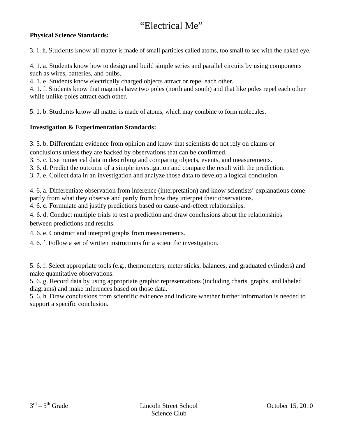# "Electrical Me"

#### **Physical Science Standards:**

3. 1. h. Students know all matter is made of small particles called atoms, too small to see with the naked eye.

4. 1. a. Students know how to design and build simple series and parallel circuits by using components such as wires, batteries, and bulbs.

4. 1. e. Students know electrically charged objects attract or repel each other.

4. 1. f. Students know that magnets have two poles (north and south) and that like poles repel each other while unlike poles attract each other.

5. 1. b. Students know all matter is made of atoms, which may combine to form molecules.

#### **Investigation & Experimentation Standards:**

3. 5. b. Differentiate evidence from opinion and know that scientists do not rely on claims or

conclusions unless they are backed by observations that can be confirmed.

3. 5. c. Use numerical data in describing and comparing objects, events, and measurements.

3. 6. d. Predict the outcome of a simple investigation and compare the result with the prediction.

3. 7. e. Collect data in an investigation and analyze those data to develop a logical conclusion.

4. 6. a. Differentiate observation from inference (interpretation) and know scientists' explanations come partly from what they observe and partly from how they interpret their observations.

4. 6. c. Formulate and justify predictions based on cause-and-effect relationships.

4. 6. d. Conduct multiple trials to test a prediction and draw conclusions about the relationships between predictions and results.

4. 6. e. Construct and interpret graphs from measurements.

4. 6. f. Follow a set of written instructions for a scientific investigation.

5. 6. f. Select appropriate tools (e.g., thermometers, meter sticks, balances, and graduated cylinders) and make quantitative observations.

5. 6. g. Record data by using appropriate graphic representations (including charts, graphs, and labeled diagrams) and make inferences based on those data.

5. 6. h. Draw conclusions from scientific evidence and indicate whether further information is needed to support a specific conclusion.